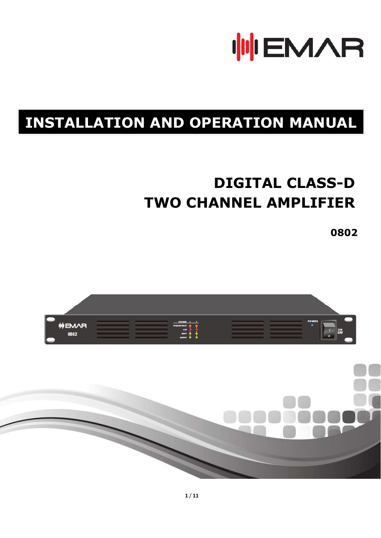

# **INSTALLATION AND OPERATION MANUAL**

# **DIGITAL CLASS-D TWO CHANNEL AMPLIFIER**

**0802** 

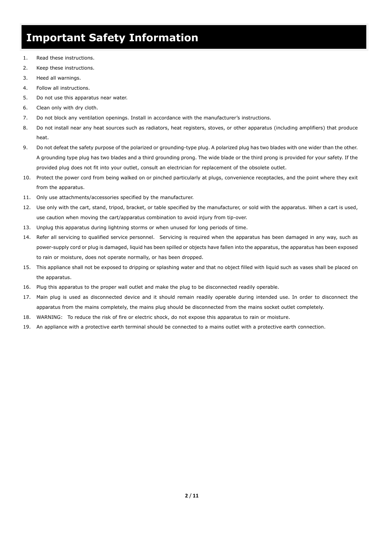## **Important Safety Information**

- 1. Read these instructions.
- 2. Keep these instructions.
- 3. Heed all warnings.
- 4. Follow all instructions.
- 5. Do not use this apparatus near water.
- 6. Clean only with dry cloth.
- 7. Do not block any ventilation openings. Install in accordance with the manufacturer's instructions.
- 8. Do not install near any heat sources such as radiators, heat registers, stoves, or other apparatus (including amplifiers) that produce heat.
- 9. Do not defeat the safety purpose of the polarized or grounding-type plug. A polarized plug has two blades with one wider than the other. A grounding type plug has two blades and a third grounding prong. The wide blade or the third prong is provided for your safety. If the provided plug does not fit into your outlet, consult an electrician for replacement of the obsolete outlet.
- 10. Protect the power cord from being walked on or pinched particularly at plugs, convenience receptacles, and the point where they exit from the apparatus.
- 11. Only use attachments/accessories specified by the manufacturer.
- 12. Use only with the cart, stand, tripod, bracket, or table specified by the manufacturer, or sold with the apparatus. When a cart is used, use caution when moving the cart/apparatus combination to avoid injury from tip-over.
- 13. Unplug this apparatus during lightning storms or when unused for long periods of time.
- 14. Refer all servicing to qualified service personnel. Servicing is required when the apparatus has been damaged in any way, such as power-supply cord or plug is damaged, liquid has been spilled or objects have fallen into the apparatus, the apparatus has been exposed to rain or moisture, does not operate normally, or has been dropped.
- 15. This appliance shall not be exposed to dripping or splashing water and that no object filled with liquid such as vases shall be placed on the apparatus.
- 16. Plug this apparatus to the proper wall outlet and make the plug to be disconnected readily operable.
- 17. Main plug is used as disconnected device and it should remain readily operable during intended use. In order to disconnect the apparatus from the mains completely, the mains plug should be disconnected from the mains socket outlet completely.
- 18. WARNING: To reduce the risk of fire or electric shock, do not expose this apparatus to rain or moisture.
- 19. An appliance with a protective earth terminal should be connected to a mains outlet with a protective earth connection.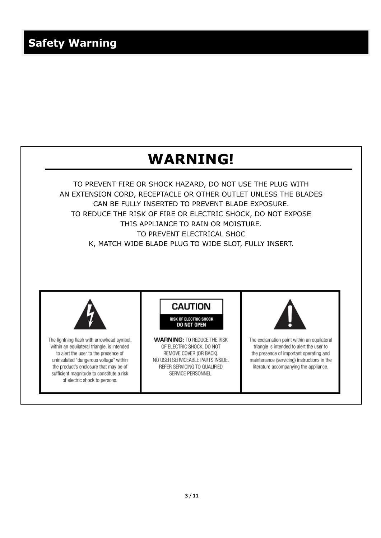

TO PREVENT FIRE OR SHOCK HAZARD, DO NOT USE THE PLUG WITH AN EXTENSION CORD, RECEPTACLE OR OTHER OUTLET UNLESS THE BLADES CAN BE FULLY INSERTED TO PREVENT BLADE EXPOSURE. TO REDUCE THE RISK OF FIRE OR ELECTRIC SHOCK, DO NOT EXPOSE THIS APPLIANCE TO RAIN OR MOISTURE. TO PREVENT ELECTRICAL SHOC K, MATCH WIDE BLADE PLUG TO WIDE SLOT, FULLY INSERT.



The lightning flash with arrowhead symbol, within an equilateral triangle, is intended to alert the user to the presence of uninsulated "dangerous voltage" within the product's enclosure that may be of sufficient magnitude to constitute a risk of electric shock to persons.

**CAUTION** 

**RISK OF ELECTRIC SHOCK DO NOT OPEN** 

**WARNING: TO REDUCE THE RISK** OF ELECTRIC SHOCK. DO NOT REMOVE COVER (OR BACK). NO USER SERVICEABLE PARTS INSIDE. REFER SERVICING TO QUALIFIED SERVICE PERSONNEL.



The exclamation point within an equilateral triangle is intended to alert the user to the presence of important operating and maintenance (servicing) instructions in the literature accompanying the appliance.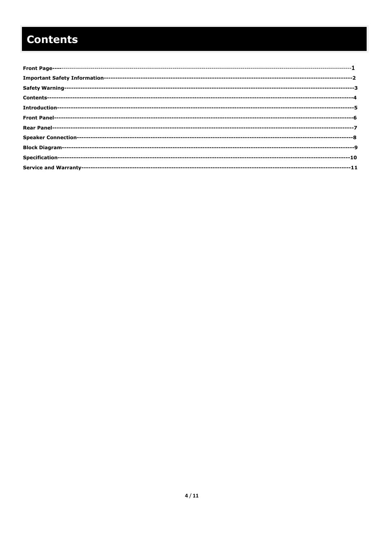# **Contents**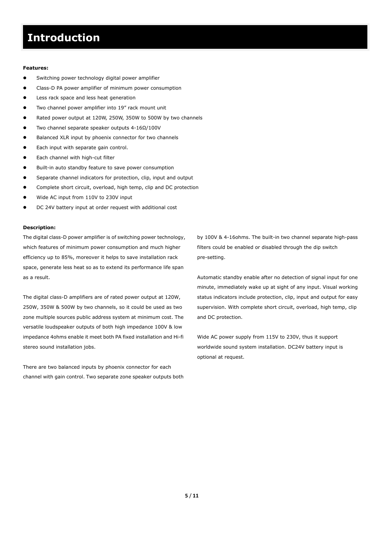### **Introduction**

#### **Features:**

Switching power technology digital power amplifier

<u> Maria Maria de Santo de Antonio de Antonio de Antonio de Antonio de Antonio de Antonio de Antonio de Antonio </u>

- Class-D PA power amplifier of minimum power consumption
- Less rack space and less heat generation
- Two channel power amplifier into 19" rack mount unit
- Rated power output at 120W, 250W, 350W to 500W by two channels
- Two channel separate speaker outputs 4-16Ω/100V
- Balanced XLR input by phoenix connector for two channels
- Each input with separate gain control.
- Each channel with high-cut filter
- Built-in auto standby feature to save power consumption
- Separate channel indicators for protection, clip, input and output
- Complete short circuit, overload, high temp, clip and DC protection
- Wide AC input from 110V to 230V input
- DC 24V battery input at order request with additional cost

#### **Description:**

The digital class-D power amplifier is of switching power technology, which features of minimum power consumption and much higher efficiency up to 85%, moreover it helps to save installation rack space, generate less heat so as to extend its performance life span as a result.

The digital class-D amplifiers are of rated power output at 120W, 250W, 350W & 500W by two channels, so it could be used as two zone multiple sources public address system at minimum cost. The versatile loudspeaker outputs of both high impedance 100V & low impedance 4ohms enable it meet both PA fixed installation and Hi-fi stereo sound installation jobs.

There are two balanced inputs by phoenix connector for each channel with gain control. Two separate zone speaker outputs both by 100V & 4-16ohms. The built-in two channel separate high-pass filters could be enabled or disabled through the dip switch pre-setting.

Automatic standby enable after no detection of signal input for one minute, immediately wake up at sight of any input. Visual working status indicators include protection, clip, input and output for easy supervision. With complete short circuit, overload, high temp, clip and DC protection.

Wide AC power supply from 115V to 230V, thus it support worldwide sound system installation. DC24V battery input is optional at request.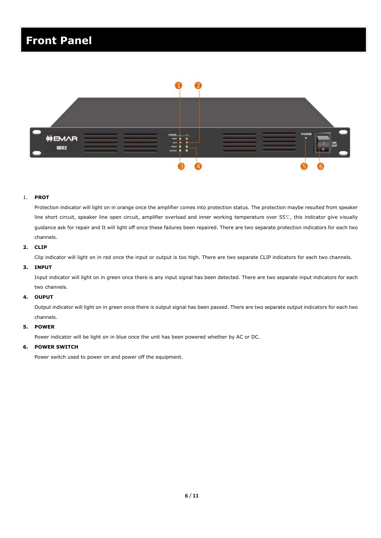## **Front Panel**



#### 1. **PROT**

Protection indicator will light on in orange once the amplifier comes into protection status. The protection maybe resulted from speaker line short circuit, speaker line open circuit, amplifier overload and inner working temperature over 55℃, this indicator give visually guidance ask for repair and It will light off once these failures been repaired. There are two separate protection indicators for each two channels.

#### **2. CLIP**

Clip indicator will light on in red once the input or output is too high. There are two separate CLIP indicators for each two channels.

#### **3. INPUT**

Input indicator will light on in green once there is any input signal has been detected. There are two separate input indicators for each two channels.

#### **4. OUPUT**

Output indicator will light on in green once there is output signal has been passed. There are two separate output indicators for each two channels.

#### **5. POWER**

Power indicator will be light on in blue once the unit has been powered whether by AC or DC.

#### **6. POWER SWITCH**

Power switch used to power on and power off the equipment.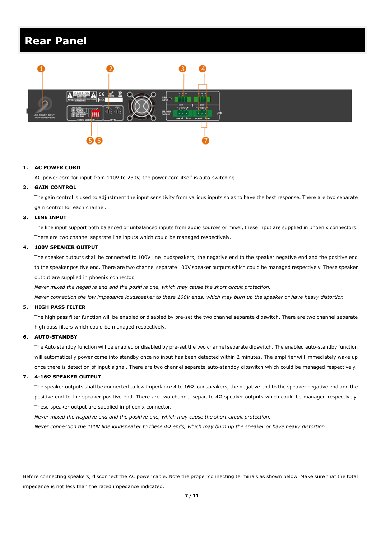### **Rear Panel**



#### **1. AC POWER CORD**

AC power cord for input from 110V to 230V, the power cord itself is auto-switching*.*

#### **2. GAIN CONTROL**

The gain control is used to adjustment the input sensitivity from various inputs so as to have the best response. There are two separate gain control for each channel.

#### **3. LINE INPUT**

The line input support both balanced or unbalanced inputs from audio sources or mixer, these input are supplied in phoenix connectors. There are two channel separate line inputs which could be managed respectively.

#### **4. 100V SPEAKER OUTPUT**

The speaker outputs shall be connected to 100V line loudspeakers, the negative end to the speaker negative end and the positive end to the speaker positive end. There are two channel separate 100V speaker outputs which could be managed respectively. These speaker output are supplied in phoenix connector.

*Never mixed the negative end and the positive one, which may cause the short circuit protection.* 

*Never connection the low impedance loudspeaker to these 100V ends, which may burn up the speaker or have heavy distortion.* 

#### **5. HIGH PASS FILTER**

The high pass filter function will be enabled or disabled by pre-set the two channel separate dipswitch. There are two channel separate high pass filters which could be managed respectively.

#### **6. AUTO-STANDBY**

The Auto standby function will be enabled or disabled by pre-set the two channel separate dipswitch. The enabled auto-standby function will automatically power come into standby once no input has been detected within 2 minutes. The amplifier will immediately wake up once there is detection of input signal. There are two channel separate auto-standby dipswitch which could be managed respectively.

#### **7. 4-16Ω SPEAKER OUTPUT**

The speaker outputs shall be connected to low impedance 4 to 16Ω loudspeakers, the negative end to the speaker negative end and the positive end to the speaker positive end. There are two channel separate 4Ω speaker outputs which could be managed respectively. These speaker output are supplied in phoenix connector.

*Never mixed the negative end and the positive one, which may cause the short circuit protection.* 

*Never connection the 100V line loudspeaker to these 4Ω ends, which may burn up the speaker or have heavy distortion.* 

Before connecting speakers, disconnect the AC power cable. Note the proper connecting terminals as shown below. Make sure that the total impedance is not less than the rated impedance indicated.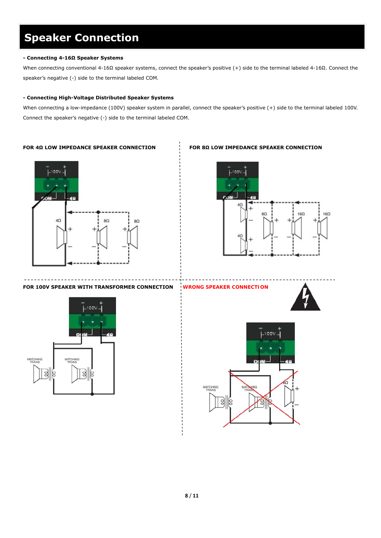# **Speaker Connection**

#### **- Connecting 4-16Ω Speaker Systems**

When connecting conventional 4-16Ω speaker systems, connect the speaker's positive (+) side to the terminal labeled 4-16Ω. Connect the speaker's negative (-) side to the terminal labeled COM.

#### **- Connecting High-Voltage Distributed Speaker Systems**

When connecting a low-impedance (100V) speaker system in parallel, connect the speaker's positive (+) side to the terminal labeled 100V. Connect the speaker's negative (-) side to the terminal labeled COM.

#### **FOR 4Ω LOW IMPEDANCE SPEAKER CONNECTION FOR 8Ω LOW IMPEDANCE SPEAKER CONNECTION**





**FOR 100V SPEAKER WITH TRANSFORMER CONNECTION** *WRONG SPEAKER CONNECTION*







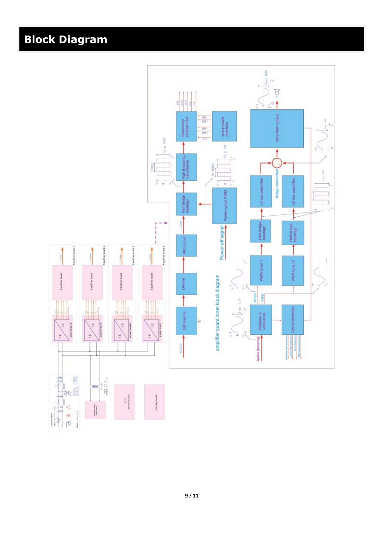### **Block Diagram**

ı

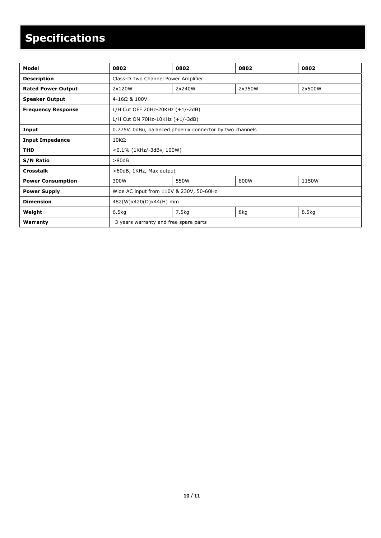# **Specifications**

| Model                     | 0802                                                     | 0802   | 0802   | 0802   |
|---------------------------|----------------------------------------------------------|--------|--------|--------|
| <b>Description</b>        | Class-D Two Channel Power Amplifier                      |        |        |        |
| <b>Rated Power Output</b> | 2x120W                                                   | 2x240W | 2x350W | 2x500W |
| <b>Speaker Output</b>     | 4-16Ω & 100V                                             |        |        |        |
| <b>Frequency Response</b> | L/H Cut OFF 20Hz-20KHz (+1/-2dB)                         |        |        |        |
|                           | L/H Cut ON 70Hz-10KHz $(+1/-3dB)$                        |        |        |        |
| Input                     | 0.775V, 0dBu, balanced phoenix connector by two channels |        |        |        |
| <b>Input Impedance</b>    | $10K\Omega$                                              |        |        |        |
| <b>THD</b>                | <0.1% (1KHz/-3dBv, 100W)                                 |        |        |        |
| <b>S/N Ratio</b>          | >80dB                                                    |        |        |        |
| <b>Crosstalk</b>          | >60dB, 1KHz, Max output                                  |        |        |        |
| <b>Power Consumption</b>  | 300W                                                     | 550W   | 800W   | 1150W  |
| <b>Power Supply</b>       | Wide AC input from 110V & 230V, 50-60Hz                  |        |        |        |
| <b>Dimension</b>          | 482(W)x420(D)x44(H) mm                                   |        |        |        |
| Weight                    | 6.5kg                                                    | 7.5kg  | 8kg    | 8.5kg  |
| Warranty                  | 3 years warranty and free spare parts                    |        |        |        |